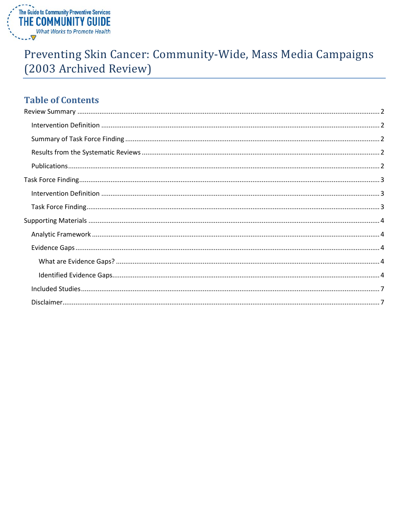

# Preventing Skin Cancer: Community-Wide, Mass Media Campaigns (2003 Archived Review)

## **Table of Contents**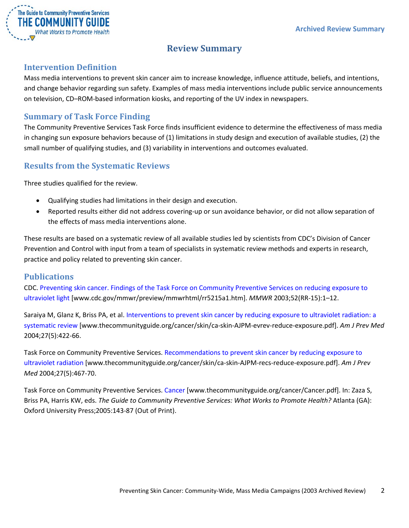

## **Review Summary**

## <span id="page-1-1"></span><span id="page-1-0"></span>**Intervention Definition**

Mass media interventions to prevent skin cancer aim to increase knowledge, influence attitude, beliefs, and intentions, and change behavior regarding sun safety. Examples of mass media interventions include public service announcements on television, CD–ROM-based information kiosks, and reporting of the UV index in newspapers.

## <span id="page-1-2"></span>**Summary of Task Force Finding**

The Community Preventive Services Task Force finds insufficient evidence to determine the effectiveness of mass media in changing sun exposure behaviors because of (1) limitations in study design and execution of available studies, (2) the small number of qualifying studies, and (3) variability in interventions and outcomes evaluated.

## <span id="page-1-3"></span>**Results from the Systematic Reviews**

Three studies qualified for the review.

- Qualifying studies had limitations in their design and execution.
- Reported results either did not address covering-up or sun avoidance behavior, or did not allow separation of the effects of mass media interventions alone.

These results are based on a systematic review of all available studies led by scientists from CDC's Division of Cancer Prevention and Control with input from a team of specialists in systematic review methods and experts in research, practice and policy related to preventing skin cancer.

## <span id="page-1-4"></span>**Publications**

CDC. [Preventing skin cancer. Findings of the Task Force on Community Preventive Services on reducing exposure to](http://www.cdc.gov/mmwr/preview/mmwrhtml/rr5215a1.htm)  [ultraviolet light](http://www.cdc.gov/mmwr/preview/mmwrhtml/rr5215a1.htm) [www.cdc.gov/mmwr/preview/mmwrhtml/rr5215a1.htm]. *MMWR* 2003;52(RR-15):1–12.

Saraiya M, Glanz K, Briss PA, et al. [Interventions to prevent skin cancer by reducing exposure to ultraviolet radiation: a](http://www.thecommunityguide.org/cancer/skin/ca-skin-AJPM-evrev-reduce-exposure.pdf)  [systematic review](http://www.thecommunityguide.org/cancer/skin/ca-skin-AJPM-evrev-reduce-exposure.pdf) [www.thecommunityguide.org/cancer/skin/ca-skin-AJPM-evrev-reduce-exposure.pdf]. *Am J Prev Med* 2004;27(5):422-66.

Task Force on Community Preventive Services. [Recommendations to prevent skin cancer by reducing exposure to](http://www.thecommunityguide.org/cancer/skin/ca-skin-AJPM-recs-reduce-exposure.pdf)  [ultraviolet radiation](http://www.thecommunityguide.org/cancer/skin/ca-skin-AJPM-recs-reduce-exposure.pdf) [www.thecommunityguide.org/cancer/skin/ca-skin-AJPM-recs-reduce-exposure.pdf]. *Am J Prev Med* 2004;27(5):467-70.

Task Force on Community Preventive Services. [Cancer](http://www.thecommunityguide.org/cancer/Cancer.pdf) [www.thecommunityguide.org/cancer/Cancer.pdf]. In: Zaza S, Briss PA, Harris KW, eds. *The Guide to Community Preventive Services: What Works to Promote Health?* Atlanta (GA): Oxford University Press;2005:143-87 (Out of Print).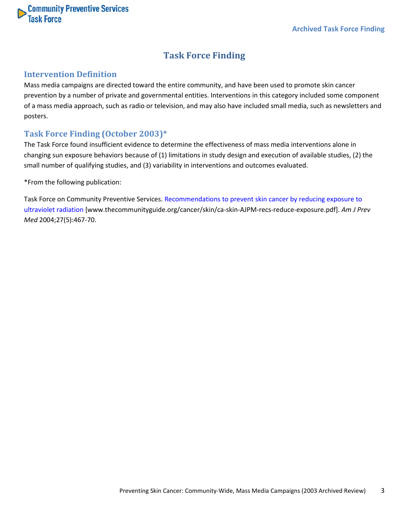<span id="page-2-0"></span>

## **Task Force Finding**

## <span id="page-2-1"></span>**Intervention Definition**

Mass media campaigns are directed toward the entire community, and have been used to promote skin cancer prevention by a number of private and governmental entities. Interventions in this category included some component of a mass media approach, such as radio or television, and may also have included small media, such as newsletters and posters.

## <span id="page-2-2"></span>**Task Force Finding (October 2003)\***

The Task Force found insufficient evidence to determine the effectiveness of mass media interventions alone in changing sun exposure behaviors because of (1) limitations in study design and execution of available studies, (2) the small number of qualifying studies, and (3) variability in interventions and outcomes evaluated.

\*From the following publication:

Task Force on Community Preventive Services. [Recommendations to prevent skin cancer by reducing exposure to](http://www.thecommunityguide.org/cancer/skin/ca-skin-AJPM-recs-reduce-exposure.pdf)  [ultraviolet radiation](http://www.thecommunityguide.org/cancer/skin/ca-skin-AJPM-recs-reduce-exposure.pdf) [www.thecommunityguide.org/cancer/skin/ca-skin-AJPM-recs-reduce-exposure.pdf]. *Am J Prev Med* 2004;27(5):467-70.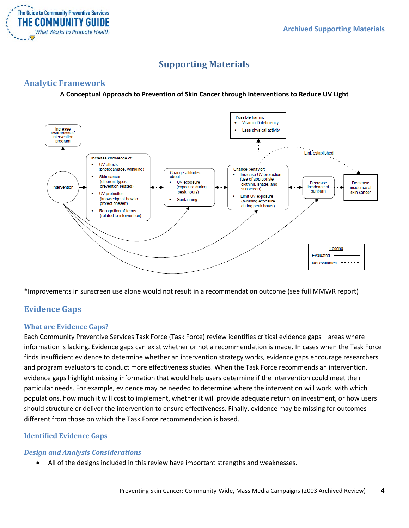

## **Supporting Materials**

## <span id="page-3-1"></span><span id="page-3-0"></span>**Analytic Framework**

#### **A Conceptual Approach to Prevention of Skin Cancer through Interventions to Reduce UV Light**



\*Improvements in sunscreen use alone would not result in a recommendation outcome (see full MMWR report)

## <span id="page-3-2"></span>**Evidence Gaps**

#### <span id="page-3-3"></span>**What are Evidence Gaps?**

Each Community Preventive Services Task Force (Task Force) review identifies critical evidence gaps—areas where information is lacking. Evidence gaps can exist whether or not a recommendation is made. In cases when the Task Force finds insufficient evidence to determine whether an intervention strategy works, evidence gaps encourage researchers and program evaluators to conduct more effectiveness studies. When the Task Force recommends an intervention, evidence gaps highlight missing information that would help users determine if the intervention could meet their particular needs. For example, evidence may be needed to determine where the intervention will work, with which populations, how much it will cost to implement, whether it will provide adequate return on investment, or how users should structure or deliver the intervention to ensure effectiveness. Finally, evidence may be missing for outcomes different from those on which the Task Force recommendation is based.

## <span id="page-3-4"></span>**Identified Evidence Gaps**

#### *Design and Analysis Considerations*

• All of the designs included in this review have important strengths and weaknesses.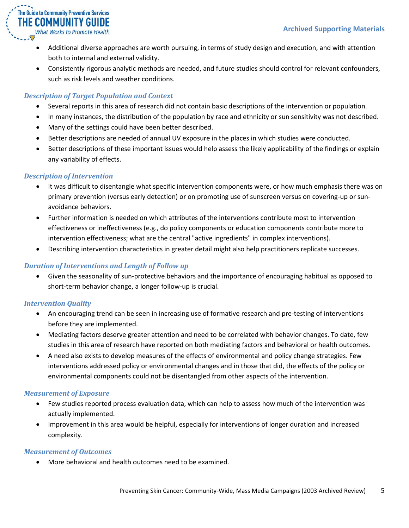

- Additional diverse approaches are worth pursuing, in terms of study design and execution, and with attention both to internal and external validity.
- Consistently rigorous analytic methods are needed, and future studies should control for relevant confounders, such as risk levels and weather conditions.

## *Description of Target Population and Context*

- Several reports in this area of research did not contain basic descriptions of the intervention or population.
- In many instances, the distribution of the population by race and ethnicity or sun sensitivity was not described.
- Many of the settings could have been better described.
- Better descriptions are needed of annual UV exposure in the places in which studies were conducted.
- Better descriptions of these important issues would help assess the likely applicability of the findings or explain any variability of effects.

#### *Description of Intervention*

- It was difficult to disentangle what specific intervention components were, or how much emphasis there was on primary prevention (versus early detection) or on promoting use of sunscreen versus on covering-up or sunavoidance behaviors.
- Further information is needed on which attributes of the interventions contribute most to intervention effectiveness or ineffectiveness (e.g., do policy components or education components contribute more to intervention effectiveness; what are the central "active ingredients" in complex interventions).
- Describing intervention characteristics in greater detail might also help practitioners replicate successes.

## *Duration of Interventions and Length of Follow up*

• Given the seasonality of sun-protective behaviors and the importance of encouraging habitual as opposed to short-term behavior change, a longer follow-up is crucial.

## *Intervention Quality*

- An encouraging trend can be seen in increasing use of formative research and pre-testing of interventions before they are implemented.
- Mediating factors deserve greater attention and need to be correlated with behavior changes. To date, few studies in this area of research have reported on both mediating factors and behavioral or health outcomes.
- A need also exists to develop measures of the effects of environmental and policy change strategies. Few interventions addressed policy or environmental changes and in those that did, the effects of the policy or environmental components could not be disentangled from other aspects of the intervention.

## *Measurement of Exposure*

- Few studies reported process evaluation data, which can help to assess how much of the intervention was actually implemented.
- Improvement in this area would be helpful, especially for interventions of longer duration and increased complexity.

#### *Measurement of Outcomes*

• More behavioral and health outcomes need to be examined.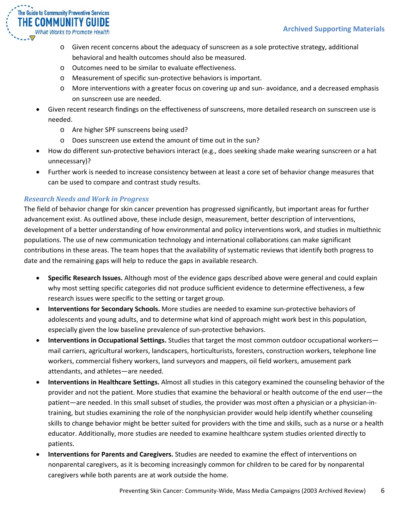

- o Given recent concerns about the adequacy of sunscreen as a sole protective strategy, additional behavioral and health outcomes should also be measured.
- o Outcomes need to be similar to evaluate effectiveness.
- o Measurement of specific sun-protective behaviors is important.
- o More interventions with a greater focus on covering up and sun- avoidance, and a decreased emphasis on sunscreen use are needed.
- Given recent research findings on the effectiveness of sunscreens, more detailed research on sunscreen use is needed.
	- o Are higher SPF sunscreens being used?
	- o Does sunscreen use extend the amount of time out in the sun?
- How do different sun-protective behaviors interact (e.g., does seeking shade make wearing sunscreen or a hat unnecessary)?
- Further work is needed to increase consistency between at least a core set of behavior change measures that can be used to compare and contrast study results.

#### *Research Needs and Work in Progress*

The field of behavior change for skin cancer prevention has progressed significantly, but important areas for further advancement exist. As outlined above, these include design, measurement, better description of interventions, development of a better understanding of how environmental and policy interventions work, and studies in multiethnic populations. The use of new communication technology and international collaborations can make significant contributions in these areas. The team hopes that the availability of systematic reviews that identify both progress to date and the remaining gaps will help to reduce the gaps in available research.

- **Specific Research Issues.** Although most of the evidence gaps described above were general and could explain why most setting specific categories did not produce sufficient evidence to determine effectiveness, a few research issues were specific to the setting or target group.
- **Interventions for Secondary Schools.** More studies are needed to examine sun-protective behaviors of adolescents and young adults, and to determine what kind of approach might work best in this population, especially given the low baseline prevalence of sun-protective behaviors.
- **Interventions in Occupational Settings.** Studies that target the most common outdoor occupational workers mail carriers, agricultural workers, landscapers, horticulturists, foresters, construction workers, telephone line workers, commercial fishery workers, land surveyors and mappers, oil field workers, amusement park attendants, and athletes—are needed.
- **Interventions in Healthcare Settings.** Almost all studies in this category examined the counseling behavior of the provider and not the patient. More studies that examine the behavioral or health outcome of the end user—the patient—are needed. In this small subset of studies, the provider was most often a physician or a physician-intraining, but studies examining the role of the nonphysician provider would help identify whether counseling skills to change behavior might be better suited for providers with the time and skills, such as a nurse or a health educator. Additionally, more studies are needed to examine healthcare system studies oriented directly to patients.
- **Interventions for Parents and Caregivers.** Studies are needed to examine the effect of interventions on nonparental caregivers, as it is becoming increasingly common for children to be cared for by nonparental caregivers while both parents are at work outside the home.